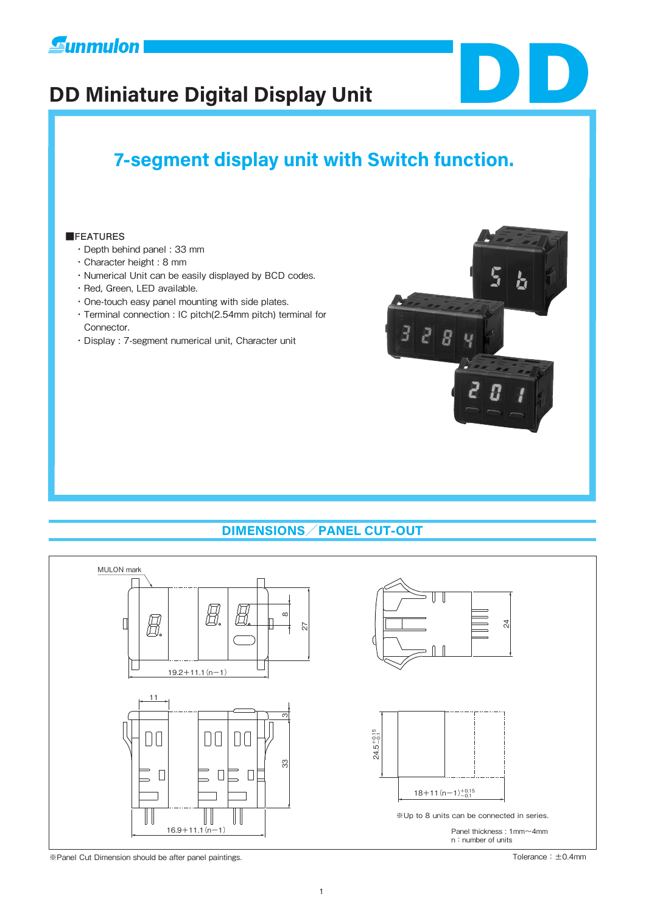





 $\overline{d}$  $\mathbf{F}$ 

 $\overline{B}$ 

### **■FEATURES**

- ・Depth behind panel : 33 mm
- ・Character height : 8 mm
- ・Numerical Unit can be easily displayed by BCD codes.
- ・Red, Green, LED available.
- ・One-touch easy panel mounting with side plates.
- ・Terminal connection : IC pitch(2.54mm pitch) terminal for Connector.
- ・Display : 7-segment numerical unit, Character unit

## **DIMENSIONS/PANEL CUT-OUT**



※Panel Cut Dimension should be after panel paintings. Tolerance:±0.4mm

DD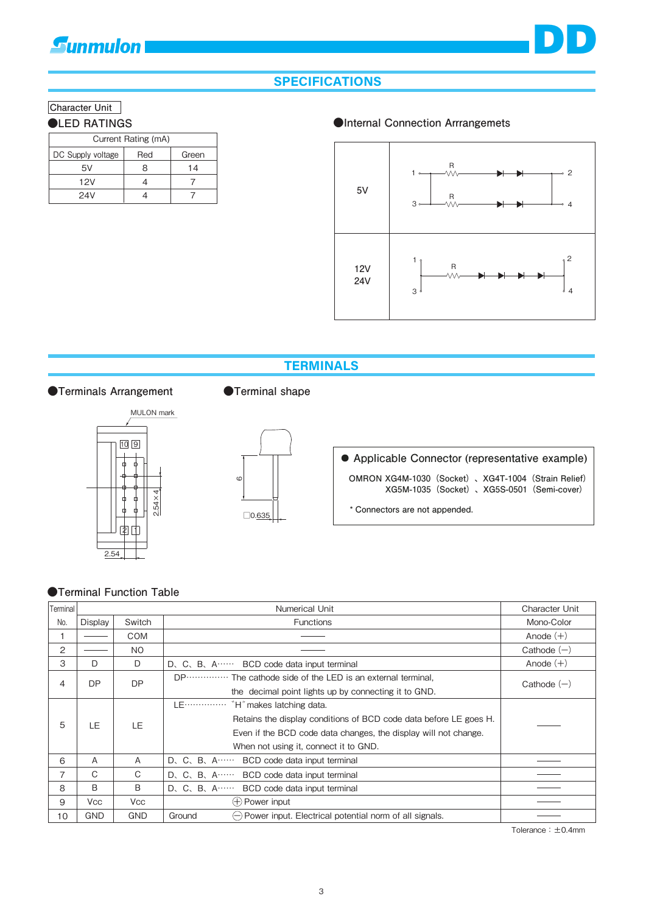# **E**unmulon



### **SPECIFICATIONS**

### **Character Unit**

| Current Rating (mA) |     |       |  |  |
|---------------------|-----|-------|--|--|
| DC Supply voltage   | Red | Green |  |  |
| 5V                  | x   | 14    |  |  |
| 12V                 |     |       |  |  |
| 24V                 |     |       |  |  |

### ●LED RATINGS ●Internal Connection Arrrangemets



### **TERMINALS**



### ●Terminals Arrangement ●Terminal shape



# **Applicable Connector (representative example)**

**OMRON XG4M-1030(Socket)、XG4T-1004(Strain Relief) XG5M-1035(Socket)、XG5S-0501(Semi-cover)**

**\* Connectors are not appended.**

### **●Terminal Function Table**

| Terminal |            | Character Unit                        |                                                                                             |               |  |
|----------|------------|---------------------------------------|---------------------------------------------------------------------------------------------|---------------|--|
| No.      | Display    | Switch                                | <b>Functions</b>                                                                            | Mono-Color    |  |
|          |            | <b>COM</b>                            |                                                                                             | Anode $(+)$   |  |
| 2        |            | N <sub>O</sub>                        |                                                                                             | Cathode $(-)$ |  |
| 3        | D          | D                                     | D. C. B. A BCD code data input terminal                                                     | Anode $(+)$   |  |
| 4        | <b>DP</b>  | DP                                    | DP The cathode side of the LED is an external terminal,                                     | Cathode $(-)$ |  |
|          |            |                                       | the decimal point lights up by connecting it to GND.                                        |               |  |
|          |            |                                       | LE ··············· `H' makes latching data.                                                 |               |  |
| 5        | LE.        | LE.                                   | Retains the display conditions of BCD code data before LE goes H.                           |               |  |
|          |            |                                       | Even if the BCD code data changes, the display will not change.                             |               |  |
|          |            | When not using it, connect it to GND. |                                                                                             |               |  |
| 6        | A          | A                                     | D. C. B. A BCD code data input terminal                                                     |               |  |
| 7        | C          | C                                     | D. C. B. A BCD code data input terminal                                                     |               |  |
| 8        | B          | B                                     | $D, C, B, A$ BCD code data input terminal                                                   |               |  |
| 9        | <b>Vcc</b> | <b>Vcc</b>                            | $(+)$ Power input                                                                           |               |  |
| 10       | <b>GND</b> | <b>GND</b>                            | Ground<br>$\left(\frac{1}{2}\right)$ Power input. Electrical potential norm of all signals. |               |  |

Tolerance:±0.4mm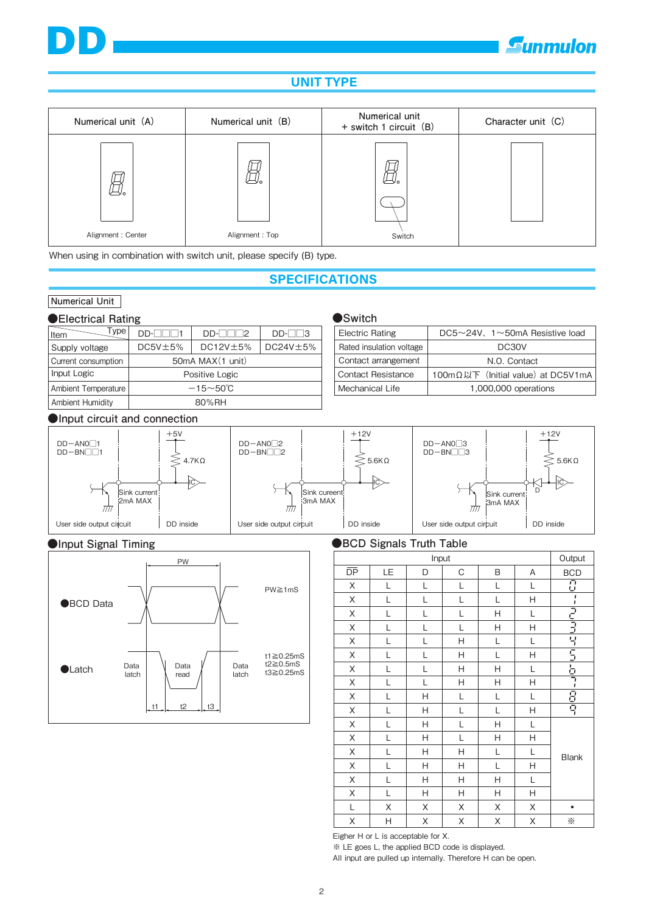



## **UNIT TYPE**

| Numerical unit (A) | Numerical unit (B) | Numerical unit<br>+ switch 1 circuit (B) | Character unit (C) |  |
|--------------------|--------------------|------------------------------------------|--------------------|--|
|                    |                    |                                          |                    |  |
| Alignment: Center  | Alignment: Top     | Switch                                   |                    |  |

When using in combination with switch unit, please specify (B) type.

### **SPECIFICATIONS**

## **Numerical Unit**

DD

### ●Electrical Rating<br>●Switch

| Type<br>Item            | $D D - \Box \Box \Box 1$ | D                 | $DD$ - $  $ $ 3$ |  |
|-------------------------|--------------------------|-------------------|------------------|--|
| Supply voltage          | $DC5V \pm 5%$            | $D$ C12V $\pm$ 5% | $DC24V \pm 5%$   |  |
| Current consumption     | 50mA MAX (1 unit)        |                   |                  |  |
| Input Logic             | Positive Logic           |                   |                  |  |
| Ambient Temperature     | $-15 - 50^{\circ}$ C     |                   |                  |  |
| <b>Ambient Humidity</b> | 80%RH                    |                   |                  |  |

#### Electric Rating Contact arrangement Contact Resistance Mechanical Life Rated insulation voltage DC5~24V、1~50mA Resistive load DC30V N.O. Contact 100mΩ以下(Initial value) at DC5V1mA 1,000,000 operations

### **●Input circuit and connection**





### ●Input Signal Timing **●BCD Signals Truth Table**

| Input |    |   |   | Output |   |                |
|-------|----|---|---|--------|---|----------------|
| DP    | LE | D | С | B      | Α | <b>BCD</b>     |
| Χ     | L  | L | L | L      | L | $\overline{C}$ |
| Χ     | L  | L | L | L      | Н |                |
| Χ     | L  | L | L | H      | L |                |
| Χ     | L  | L | L | Η      | н | الرابيات       |
| Χ     | L  | L | Н | L      | L |                |
| X     | L  | L | Η | L      | н | ららら            |
| X     | L  | L | Н | Η      | L |                |
| Χ     | L  | L | Н | Н      | Н | ı              |
| Χ     | L  | Н | L | L      | L | 日号             |
| Χ     | L  | Η | L | L      | н |                |
| Χ     | L  | Η | L | Η      | L |                |
| Χ     | L  | Н | L | Н      | н | <b>Blank</b>   |
| X     | L  | Н | H | L      | Г |                |
| Χ     | L  | Н | Η | L      | н |                |
| X     | L  | Η | Н | Η      | Г |                |
| X     | L  | Н | Н | Н      | н |                |
| L     | X  | Χ | Χ | Χ      | Χ | ٠              |
| Χ     | Η  | X | Χ | Χ      | Χ | ☀              |

Eigher H or L is acceptable for X.

※ LE goes L, the applied BCD code is displayed.

All input are pulled up internally. Therefore H can be open.